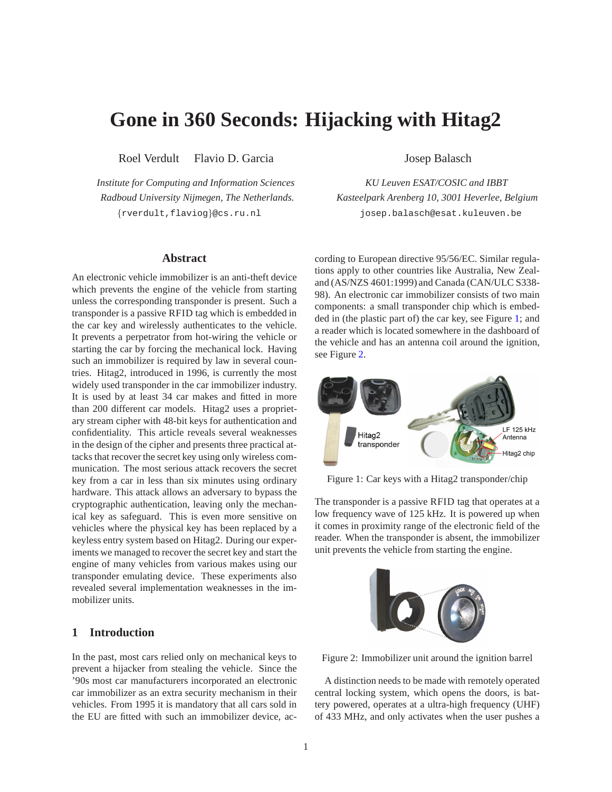# **Gone in 360 Seconds: Hijacking with Hitag2**

Roel Verdult Flavio D. Garcia Josep Balasch

## **Abstract**

An electronic vehicle immobilizer is an anti-theft device which prevents the engine of the vehicle from starting unless the corresponding transponder is present. Such a transponder is a passive RFID tag which is embedded in the car key and wirelessly authenticates to the vehicle. It prevents a perpetrator from hot-wiring the vehicle or starting the car by forcing the mechanical lock. Having such an immobilizer is required by law in several countries. Hitag2, introduced in 1996, is currently the most widely used transponder in the car immobilizer industry. It is used by at least 34 car makes and fitted in more than 200 different car models. Hitag2 uses a proprietary stream cipher with 48-bit keys for authentication and confidentiality. This article reveals several weaknesses in the design of the cipher and presents three practical attacks that recover the secret key using only wireless communication. The most serious attack recovers the secret key from a car in less than six minutes using ordinary hardware. This attack allows an adversary to bypass the cryptographic authentication, leaving only the mechanical key as safeguard. This is even more sensitive on vehicles where the physical key has been replaced by a keyless entry system based on Hitag2. During our experiments we managed to recover the secret key and start the engine of many vehicles from various makes using our transponder emulating device. These experiments also revealed several implementation weaknesses in the immobilizer units.

## **1 Introduction**

In the past, most cars relied only on mechanical keys to prevent a hijacker from stealing the vehicle. Since the '90s most car manufacturers incorporated an electronic car immobilizer as an extra security mechanism in their vehicles. From 1995 it is mandatory that all cars sold in the EU are fitted with such an immobilizer device, ac-

*Institute for Computing and Information Sciences KU Leuven ESAT/COSIC and IBBT Radboud University Nijmegen, The Netherlands. Kasteelpark Arenberg 10, 3001 Heverlee, Belgium* {rverdult,flaviog}@cs.ru.nl josep.balasch@esat.kuleuven.be

> cording to European directive 95/56/EC. Similar regulations apply to other countries like Australia, New Zealand (AS/NZS 4601:1999) and Canada (CAN/ULC S338- 98). An electronic car immobilizer consists of two main components: a small transponder chip which is embedded in (the plastic part of) the car key, see Figure [1;](#page-0-0) and a reader which is located somewhere in the dashboard of the vehicle and has an antenna coil around the ignition, see Figure [2.](#page-0-1)

<span id="page-0-0"></span>

Figure 1: Car keys with a Hitag2 transponder/chip

The transponder is a passive RFID tag that operates at a low frequency wave of 125 kHz. It is powered up when it comes in proximity range of the electronic field of the reader. When the transponder is absent, the immobilizer unit prevents the vehicle from starting the engine.

<span id="page-0-1"></span>

Figure 2: Immobilizer unit around the ignition barrel

A distinction needs to be made with remotely operated central locking system, which opens the doors, is battery powered, operates at a ultra-high frequency (UHF) of 433 MHz, and only activates when the user pushes a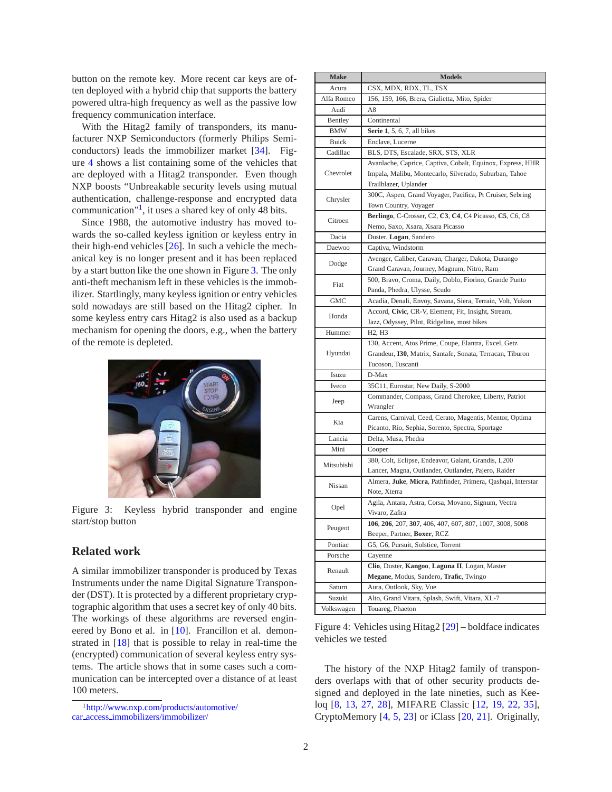button on the remote key. More recent car keys are often deployed with a hybrid chip that supports the battery powered ultra-high frequency as well as the passive low frequency communication interface.

With the Hitag2 family of transponders, its manufacturer NXP Semiconductors (formerly Philips Semiconductors) leads the immobilizer market [\[34\]](#page-15-0). Figure [4](#page-1-0) shows a list containing some of the vehicles that are deployed with a Hitag2 transponder. Even though NXP boosts "Unbreakable security levels using mutual authentication, challenge-response and encrypted data communication"<sup>[1](#page-1-1)</sup>, it uses a shared key of only 48 bits.

Since 1988, the automotive industry has moved towards the so-called keyless ignition or keyless entry in their high-end vehicles [\[26\]](#page-14-0). In such a vehicle the mechanical key is no longer present and it has been replaced by a start button like the one shown in Figure [3.](#page-1-2) The only anti-theft mechanism left in these vehicles is the immobilizer. Startlingly, many keyless ignition or entry vehicles sold nowadays are still based on the Hitag2 cipher. In some keyless entry cars Hitag2 is also used as a backup mechanism for opening the doors, e.g., when the battery of the remote is depleted.

<span id="page-1-2"></span>

Figure 3: Keyless hybrid transponder and engine start/stop button

## **Related work**

A similar immobilizer transponder is produced by Texas Instruments under the name Digital Signature Transponder (DST). It is protected by a different proprietary cryptographic algorithm that uses a secret key of only 40 bits. The workings of these algorithms are reversed engineered by Bono et al. in [\[10](#page-13-0)]. Francillon et al. demonstrated in [\[18\]](#page-14-1) that is possible to relay in real-time the (encrypted) communication of several keyless entry systems. The article shows that in some cases such a communication can be intercepted over a distance of at least 100 meters.

<span id="page-1-0"></span>

| <b>Make</b>                                   | <b>Models</b>                                                                                                     |  |  |
|-----------------------------------------------|-------------------------------------------------------------------------------------------------------------------|--|--|
| Acura                                         | CSX, MDX, RDX, TL, TSX                                                                                            |  |  |
| Alfa Romeo                                    | 156, 159, 166, Brera, Giulietta, Mito, Spider                                                                     |  |  |
| Audi                                          | A8                                                                                                                |  |  |
| Bentley                                       | Continental                                                                                                       |  |  |
| BMW                                           | <b>Serie 1</b> , 5, 6, 7, all bikes                                                                               |  |  |
| Buick                                         | Enclave, Lucerne                                                                                                  |  |  |
| Cadillac                                      | BLS, DTS, Escalade, SRX, STS, XLR                                                                                 |  |  |
|                                               | Avanlache, Caprice, Captiva, Cobalt, Equinox, Express, HHR                                                        |  |  |
| Chevrolet                                     | Impala, Malibu, Montecarlo, Silverado, Suburban, Tahoe                                                            |  |  |
|                                               | Trailblazer, Uplander                                                                                             |  |  |
| Chrysler                                      | 300C, Aspen, Grand Voyager, Pacifica, Pt Cruiser, Sebring                                                         |  |  |
|                                               | Town Country, Voyager                                                                                             |  |  |
| Citroen                                       | Berlingo, C-Crosser, C2, C3, C4, C4 Picasso, C5, C6, C8                                                           |  |  |
|                                               | Nemo, Saxo, Xsara, Xsara Picasso                                                                                  |  |  |
| Dacia                                         | Duster, Logan, Sandero                                                                                            |  |  |
| Daewoo                                        | Captiva, Windstorm                                                                                                |  |  |
| Dodge                                         | Avenger, Caliber, Caravan, Charger, Dakota, Durango                                                               |  |  |
|                                               | Grand Caravan, Journey, Magnum, Nitro, Ram                                                                        |  |  |
| Fiat                                          | 500, Bravo, Croma, Daily, Doblo, Fiorino, Grande Punto                                                            |  |  |
|                                               | Panda, Phedra, Ulysse, Scudo                                                                                      |  |  |
| GMC                                           | Acadia, Denali, Envoy, Savana, Siera, Terrain, Volt, Yukon                                                        |  |  |
| Honda                                         | Accord, Civic, CR-V, Element, Fit, Insight, Stream,                                                               |  |  |
|                                               | Jazz, Odyssey, Pilot, Ridgeline, most bikes                                                                       |  |  |
| Hummer                                        | H <sub>2</sub> , H <sub>3</sub>                                                                                   |  |  |
| Hyundai                                       | 130, Accent, Atos Prime, Coupe, Elantra, Excel, Getz<br>Grandeur, I30, Matrix, Santafe, Sonata, Terracan, Tiburon |  |  |
|                                               | Tucoson, Tuscanti                                                                                                 |  |  |
| Isuzu                                         | D-Max                                                                                                             |  |  |
| Iveco                                         | 35C11, Eurostar, New Daily, S-2000                                                                                |  |  |
|                                               | Commander, Compass, Grand Cherokee, Liberty, Patriot                                                              |  |  |
| Jeep                                          | Wrangler                                                                                                          |  |  |
|                                               | Carens, Carnival, Ceed, Cerato, Magentis, Mentor, Optima                                                          |  |  |
| Kia                                           | Picanto, Rio, Sephia, Sorento, Spectra, Sportage                                                                  |  |  |
| Lancia                                        | Delta, Musa, Phedra                                                                                               |  |  |
| Mini                                          | Cooper                                                                                                            |  |  |
| Mitsubishi                                    | 380, Colt, Eclipse, Endeavor, Galant, Grandis, L200                                                               |  |  |
|                                               | Lancer, Magna, Outlander, Outlander, Pajero, Raider                                                               |  |  |
| Nissan                                        | Almera, Juke, Micra, Pathfinder, Primera, Qashqai, Interstar                                                      |  |  |
|                                               | Note, Xterra                                                                                                      |  |  |
| Opel                                          | Agila, Antara, Astra, Corsa, Movano, Signum, Vectra                                                               |  |  |
|                                               | Vivaro, Zafira                                                                                                    |  |  |
| Peugeot                                       | 106, 206, 207, 307, 406, 407, 607, 807, 1007, 3008, 5008                                                          |  |  |
|                                               | Beeper, Partner, Boxer, RCZ                                                                                       |  |  |
| Pontiac<br>G5, G6, Pursuit, Solstice, Torrent |                                                                                                                   |  |  |
| Porsche                                       | Cayenne                                                                                                           |  |  |
| Renault                                       | Clio, Duster, Kangoo, Laguna II, Logan, Master                                                                    |  |  |
|                                               | Megane, Modus, Sandero, Trafic, Twingo                                                                            |  |  |
| Saturn                                        | Aura, Outlook, Sky, Vue                                                                                           |  |  |
| Suzuki                                        | Alto, Grand Vitara, Splash, Swift, Vitara, XL-7                                                                   |  |  |
| Volkswagen                                    | Touareg, Phaeton                                                                                                  |  |  |

Figure 4: Vehicles using Hitag2 [\[29\]](#page-14-2) – boldface indicates vehicles we tested

The history of the NXP Hitag2 family of transponders overlaps with that of other security products designed and deployed in the late nineties, such as Keeloq [\[8,](#page-13-1) [13,](#page-13-2) [27,](#page-14-3) [28\]](#page-14-4), MIFARE Classic [\[12](#page-13-3), [19](#page-14-5), [22](#page-14-6), [35](#page-15-1)], CryptoMemory [\[4](#page-13-4), [5,](#page-13-5) [23\]](#page-14-7) or iClass [\[20,](#page-14-8) [21](#page-14-9)]. Originally,

<span id="page-1-1"></span><sup>1</sup>[http://www.nxp.com/products/automotive/](http://www.nxp.com/products/automotive/car_access_immobilizers/immobilizer/) car access [immobilizers/immobilizer/](http://www.nxp.com/products/automotive/car_access_immobilizers/immobilizer/)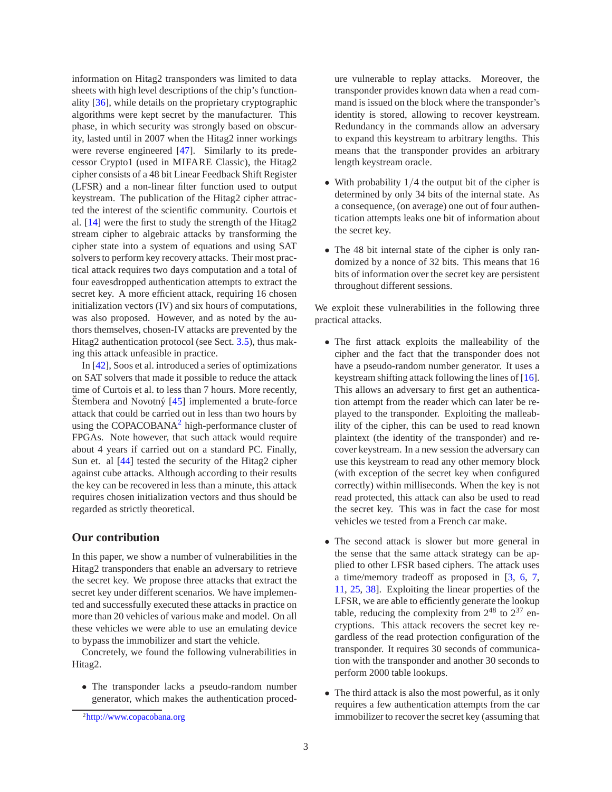information on Hitag2 transponders was limited to data sheets with high level descriptions of the chip's functionality [\[36\]](#page-15-2), while details on the proprietary cryptographic algorithms were kept secret by the manufacturer. This phase, in which security was strongly based on obscurity, lasted until in 2007 when the Hitag2 inner workings were reverse engineered [\[47\]](#page-15-3). Similarly to its predecessor Crypto1 (used in MIFARE Classic), the Hitag2 cipher consists of a 48 bit Linear Feedback Shift Register (LFSR) and a non-linear filter function used to output keystream. The publication of the Hitag2 cipher attracted the interest of the scientific community. Courtois et al. [\[14\]](#page-14-10) were the first to study the strength of the Hitag2 stream cipher to algebraic attacks by transforming the cipher state into a system of equations and using SAT solvers to perform key recovery attacks. Their most practical attack requires two days computation and a total of four eavesdropped authentication attempts to extract the secret key. A more efficient attack, requiring 16 chosen initialization vectors (IV) and six hours of computations, was also proposed. However, and as noted by the authors themselves, chosen-IV attacks are prevented by the Hitag2 authentication protocol (see Sect. [3.5\)](#page-5-0), thus making this attack unfeasible in practice.

In [\[42\]](#page-15-4), Soos et al. introduced a series of optimizations on SAT solvers that made it possible to reduce the attack time of Curtois et al. to less than 7 hours. More recently, Štembera and Novotný  $[45]$  $[45]$  implemented a brute-force attack that could be carried out in less than two hours by using the COPACOBANA $^2$  $^2$  high-performance cluster of FPGAs. Note however, that such attack would require about 4 years if carried out on a standard PC. Finally, Sun et. al [\[44\]](#page-15-6) tested the security of the Hitag2 cipher against cube attacks. Although according to their results the key can be recovered in less than a minute, this attack requires chosen initialization vectors and thus should be regarded as strictly theoretical.

## **Our contribution**

In this paper, we show a number of vulnerabilities in the Hitag2 transponders that enable an adversary to retrieve the secret key. We propose three attacks that extract the secret key under different scenarios. We have implemented and successfully executed these attacks in practice on more than 20 vehicles of various make and model. On all these vehicles we were able to use an emulating device to bypass the immobilizer and start the vehicle.

Concretely, we found the following vulnerabilities in Hitag2.

• The transponder lacks a pseudo-random number generator, which makes the authentication procedure vulnerable to replay attacks. Moreover, the transponder provides known data when a read command is issued on the block where the transponder's identity is stored, allowing to recover keystream. Redundancy in the commands allow an adversary to expand this keystream to arbitrary lengths. This means that the transponder provides an arbitrary length keystream oracle.

- With probability  $1/4$  the output bit of the cipher is determined by only 34 bits of the internal state. As a consequence, (on average) one out of four authentication attempts leaks one bit of information about the secret key.
- The 48 bit internal state of the cipher is only randomized by a nonce of 32 bits. This means that 16 bits of information over the secret key are persistent throughout different sessions.

We exploit these vulnerabilities in the following three practical attacks.

- The first attack exploits the malleability of the cipher and the fact that the transponder does not have a pseudo-random number generator. It uses a keystream shifting attack following the lines of [\[16](#page-14-11)]. This allows an adversary to first get an authentication attempt from the reader which can later be replayed to the transponder. Exploiting the malleability of the cipher, this can be used to read known plaintext (the identity of the transponder) and recover keystream. In a new session the adversary can use this keystream to read any other memory block (with exception of the secret key when configured correctly) within milliseconds. When the key is not read protected, this attack can also be used to read the secret key. This was in fact the case for most vehicles we tested from a French car make.
- The second attack is slower but more general in the sense that the same attack strategy can be applied to other LFSR based ciphers. The attack uses a time/memory tradeoff as proposed in [\[3](#page-13-6), [6](#page-13-7), [7,](#page-13-8) [11,](#page-13-9) [25,](#page-14-12) [38](#page-15-7)]. Exploiting the linear properties of the LFSR, we are able to efficiently generate the lookup table, reducing the complexity from  $2^{48}$  to  $2^{37}$  encryptions. This attack recovers the secret key regardless of the read protection configuration of the transponder. It requires 30 seconds of communication with the transponder and another 30 seconds to perform 2000 table lookups.
- The third attack is also the most powerful, as it only requires a few authentication attempts from the car immobilizer to recover the secret key (assuming that

<span id="page-2-0"></span><sup>2</sup><http://www.copacobana.org>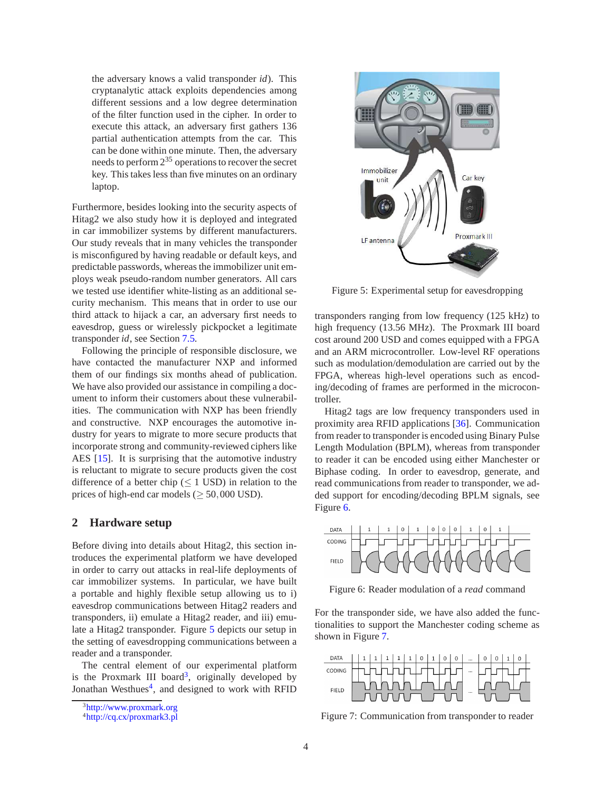the adversary knows a valid transponder *id*). This cryptanalytic attack exploits dependencies among different sessions and a low degree determination of the filter function used in the cipher. In order to execute this attack, an adversary first gathers 136 partial authentication attempts from the car. This can be done within one minute. Then, the adversary needs to perform  $2^{35}$  operations to recover the secret key. This takes less than five minutes on an ordinary laptop.

Furthermore, besides looking into the security aspects of Hitag2 we also study how it is deployed and integrated in car immobilizer systems by different manufacturers. Our study reveals that in many vehicles the transponder is misconfigured by having readable or default keys, and predictable passwords, whereas the immobilizer unit employs weak pseudo-random number generators. All cars we tested use identifier white-listing as an additional security mechanism. This means that in order to use our third attack to hijack a car, an adversary first needs to eavesdrop, guess or wirelessly pickpocket a legitimate transponder *id*, see Section [7.5.](#page-11-0)

Following the principle of responsible disclosure, we have contacted the manufacturer NXP and informed them of our findings six months ahead of publication. We have also provided our assistance in compiling a document to inform their customers about these vulnerabilities. The communication with NXP has been friendly and constructive. NXP encourages the automotive industry for years to migrate to more secure products that incorporate strong and community-reviewed ciphers like AES [\[15\]](#page-14-13). It is surprising that the automotive industry is reluctant to migrate to secure products given the cost difference of a better chip ( $\leq$  1 USD) in relation to the prices of high-end car models ( $\geq$  50,000 USD).

#### **2 Hardware setup**

Before diving into details about Hitag2, this section introduces the experimental platform we have developed in order to carry out attacks in real-life deployments of car immobilizer systems. In particular, we have built a portable and highly flexible setup allowing us to i) eavesdrop communications between Hitag2 readers and transponders, ii) emulate a Hitag2 reader, and iii) emulate a Hitag2 transponder. Figure [5](#page-3-0) depicts our setup in the setting of eavesdropping communications between a reader and a transponder.

The central element of our experimental platform is the Proxmark III board<sup>[3](#page-3-1)</sup>, originally developed by Jonathan Westhues<sup>[4](#page-3-2)</sup>, and designed to work with RFID

<span id="page-3-0"></span>

Figure 5: Experimental setup for eavesdropping

transponders ranging from low frequency (125 kHz) to high frequency (13.56 MHz). The Proxmark III board cost around 200 USD and comes equipped with a FPGA and an ARM microcontroller. Low-level RF operations such as modulation/demodulation are carried out by the FPGA, whereas high-level operations such as encoding/decoding of frames are performed in the microcontroller.

Hitag2 tags are low frequency transponders used in proximity area RFID applications [\[36](#page-15-2)]. Communication from reader to transponder is encoded using Binary Pulse Length Modulation (BPLM), whereas from transponder to reader it can be encoded using either Manchester or Biphase coding. In order to eavesdrop, generate, and read communications from reader to transponder, we added support for encoding/decoding BPLM signals, see Figure [6.](#page-3-3)

<span id="page-3-3"></span>

Figure 6: Reader modulation of a *read* command

For the transponder side, we have also added the functionalities to support the Manchester coding scheme as shown in Figure [7.](#page-3-4)

<span id="page-3-4"></span>

Figure 7: Communication from transponder to reader

<sup>3</sup><http://www.proxmark.org>

<span id="page-3-2"></span><span id="page-3-1"></span><sup>4</sup><http://cq.cx/proxmark3.pl>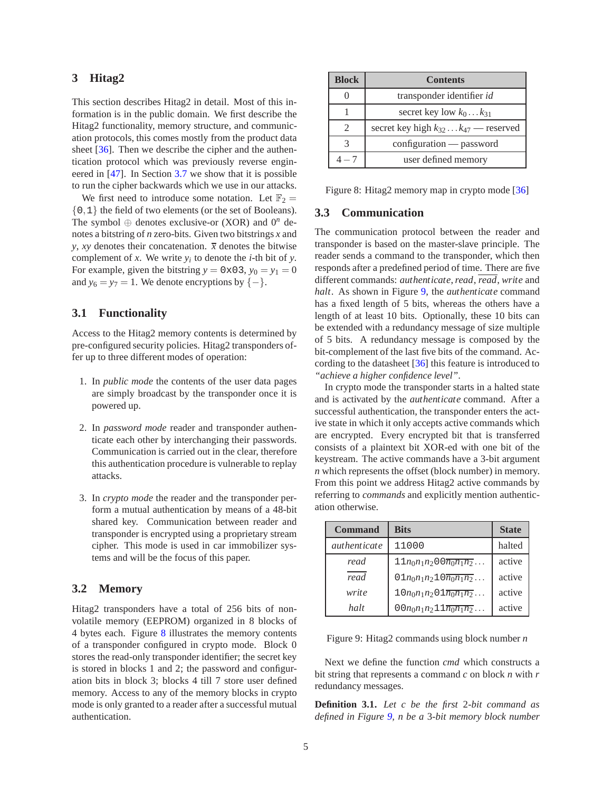## **3 Hitag2**

This section describes Hitag2 in detail. Most of this information is in the public domain. We first describe the Hitag2 functionality, memory structure, and communication protocols, this comes mostly from the product data sheet [\[36\]](#page-15-2). Then we describe the cipher and the authentication protocol which was previously reverse engineered in [\[47\]](#page-15-3). In Section [3.7](#page-6-0) we show that it is possible to run the cipher backwards which we use in our attacks.

We first need to introduce some notation. Let  $\mathbb{F}_2 =$ {0,1} the field of two elements (or the set of Booleans). The symbol  $\oplus$  denotes exclusive-or (XOR) and  $0^n$  denotes a bitstring of *n* zero-bits. Given two bitstrings *x* and *y*, *xy* denotes their concatenation.  $\overline{x}$  denotes the bitwise complement of *x*. We write  $y_i$  to denote the *i*-th bit of *y*. For example, given the bitstring  $y = 0 \times 0.3$ ,  $y_0 = y_1 = 0$ and  $y_6 = y_7 = 1$ . We denote encryptions by  $\{-\}.$ 

## **3.1 Functionality**

Access to the Hitag2 memory contents is determined by pre-configured security policies. Hitag2 transponders offer up to three different modes of operation:

- 1. In *public mode* the contents of the user data pages are simply broadcast by the transponder once it is powered up.
- 2. In *password mode* reader and transponder authenticate each other by interchanging their passwords. Communication is carried out in the clear, therefore this authentication procedure is vulnerable to replay attacks.
- 3. In *crypto mode* the reader and the transponder perform a mutual authentication by means of a 48-bit shared key. Communication between reader and transponder is encrypted using a proprietary stream cipher. This mode is used in car immobilizer systems and will be the focus of this paper.

## **3.2 Memory**

Hitag2 transponders have a total of 256 bits of nonvolatile memory (EEPROM) organized in 8 blocks of 4 bytes each. Figure [8](#page-4-0) illustrates the memory contents of a transponder configured in crypto mode. Block 0 stores the read-only transponder identifier; the secret key is stored in blocks 1 and 2; the password and configuration bits in block 3; blocks 4 till 7 store user defined memory. Access to any of the memory blocks in crypto mode is only granted to a reader after a successful mutual authentication.

<span id="page-4-0"></span>

| <b>Block</b>                | <b>Contents</b>                                  |  |
|-----------------------------|--------------------------------------------------|--|
|                             | transponder identifier id                        |  |
|                             | secret key low $k_0k_{31}$                       |  |
| $\mathcal{D}_{\mathcal{L}}$ | secret key high $k_{32} \dots k_{47}$ — reserved |  |
|                             | configuration — password                         |  |
|                             | user defined memory                              |  |

Figure 8: Hitag2 memory map in crypto mode [\[36](#page-15-2)]

#### <span id="page-4-2"></span>**3.3 Communication**

The communication protocol between the reader and transponder is based on the master-slave principle. The reader sends a command to the transponder, which then responds after a predefined period of time. There are five different commands: *authenticate*,*read*, *read*, *write* and *halt*. As shown in Figure [9,](#page-4-1) the *authenticate* command has a fixed length of 5 bits, whereas the others have a length of at least 10 bits. Optionally, these 10 bits can be extended with a redundancy message of size multiple of 5 bits. A redundancy message is composed by the bit-complement of the last five bits of the command. According to the datasheet [\[36\]](#page-15-2) this feature is introduced to *"achieve a higher confidence level"*.

In crypto mode the transponder starts in a halted state and is activated by the *authenticate* command. After a successful authentication, the transponder enters the active state in which it only accepts active commands which are encrypted. Every encrypted bit that is transferred consists of a plaintext bit XOR-ed with one bit of the keystream. The active commands have a 3-bit argument *n* which represents the offset (block number) in memory. From this point we address Hitag2 active commands by referring to *commands* and explicitly mention authentication otherwise.

<span id="page-4-1"></span>

| Command             | <b>Bits</b>                               | <b>State</b> |
|---------------------|-------------------------------------------|--------------|
| <i>authenticate</i> | 11000                                     | halted       |
| read                | $11n_0n_1n_200\overline{n_0n_1n_2}\dots$  | active       |
| read                | $01n_0n_1n_210\overline{n_0n_1n_2}\dots$  | active       |
| write               | $10n_0n_1n_201\overline{n_0n_1n_2}\dots$  | active       |
| halt                | $00n_0n_1n_211\overline{n_0n_1n_2}\ldots$ | active       |

Figure 9: Hitag2 commands using block number *n*

Next we define the function *cmd* which constructs a bit string that represents a command *c* on block *n* with *r* redundancy messages.

<span id="page-4-3"></span>**Definition 3.1.** *Let c be the first* 2*-bit command as defined in Figure [9,](#page-4-1) n be a* 3*-bit memory block number*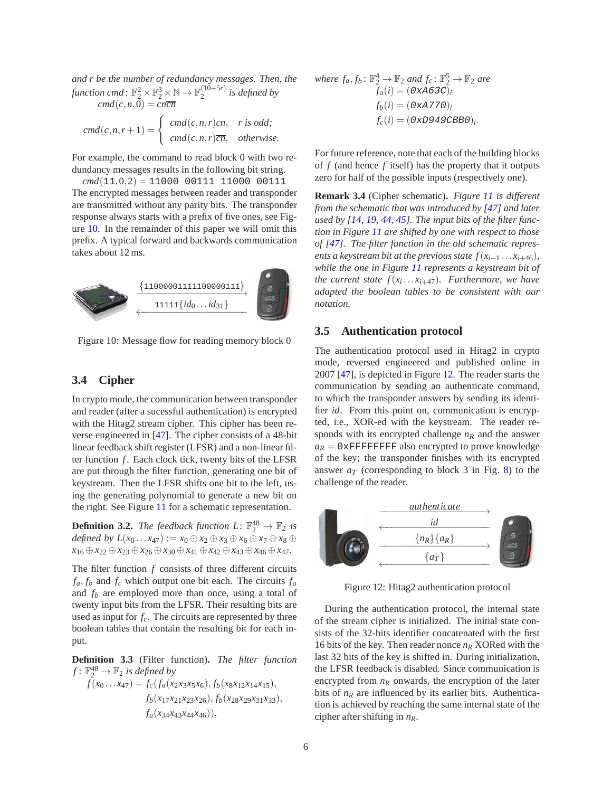*and r be the number of redundancy messages. Then, the* function cmd :  $\mathbb{F}_2^2 \times \mathbb{F}_2^3 \times \mathbb{N} \to \mathbb{F}_2^{(10+5r)}$  $\int_{2}^{(10+5r)}$  is defined by  $cmd(c, n, 0) = cn\overline{cn}$ 

$$
cmd(c, n, r+1) = \begin{cases} cmd(c, n, r)cn, & r \text{ is odd;} \\ cmd(c, n, r)cn, & otherwise. \end{cases}
$$

For example, the command to read block 0 with two redundancy messages results in the following bit string.

 $cmd(11,0,2) = 11000 00111 11000 00111$ The encrypted messages between reader and transponder are transmitted without any parity bits. The transponder response always starts with a prefix of five ones, see Figure [10.](#page-5-1) In the remainder of this paper we will omit this prefix. A typical forward and backwards communication takes about 12 ms.

<span id="page-5-1"></span>

Figure 10: Message flow for reading memory block 0

## **3.4 Cipher**

In crypto mode, the communication between transponder and reader (after a sucessful authentication) is encrypted with the Hitag2 stream cipher. This cipher has been reverse engineered in [\[47\]](#page-15-3). The cipher consists of a 48-bit linear feedback shift register (LFSR) and a non-linear filter function *f*. Each clock tick, twenty bits of the LFSR are put through the filter function, generating one bit of keystream. Then the LFSR shifts one bit to the left, using the generating polynomial to generate a new bit on the right. See Figure [11](#page-6-1) for a schematic representation.

**Definition 3.2.** The feedback function  $L: \mathbb{F}_2^{48} \to \mathbb{F}_2$  is  $\alpha$ *defined by*  $L(x_0 \ldots x_{47}) := x_0 \oplus x_2 \oplus x_3 \oplus x_6 \oplus x_7 \oplus x_8 \oplus x_9$ *x*<sup>16</sup> ⊕*x*<sup>22</sup> ⊕*x*<sup>23</sup> ⊕*x*<sup>26</sup> ⊕*x*<sup>30</sup> ⊕*x*<sup>41</sup> ⊕*x*<sup>42</sup> ⊕*x*<sup>43</sup> ⊕*x*<sup>46</sup> ⊕*x*47*.*

The filter function *f* consists of three different circuits  $f_a, f_b$  and  $f_c$  which output one bit each. The circuits  $f_a$ and *f<sup>b</sup>* are employed more than once, using a total of twenty input bits from the LFSR. Their resulting bits are used as input for *fc*. The circuits are represented by three boolean tables that contain the resulting bit for each input.

**Definition 3.3** (Filter function)**.** *The filter function*  $f: \mathbb{F}_2^{48} \to \mathbb{F}_2$  *is defined by* 

$$
f(x_0...x_{47}) = f_c(f_a(x_2x_3x_5x_6), f_b(x_8x_{12}x_{14}x_{15}),
$$
  
\n
$$
f_b(x_{17}x_{21}x_{23}x_{26}), f_b(x_{28}x_{29}x_{31}x_{33}),
$$
  
\n
$$
f_a(x_{34}x_{43}x_{44}x_{46})),
$$

where 
$$
f_a, f_b: \mathbb{F}_2^4 \to \mathbb{F}_2
$$
 and  $f_c: \mathbb{F}_2^5 \to \mathbb{F}_2$  are  
\n
$$
f_a(i) = (0 \times A6 \text{ } 3C)_i
$$
\n
$$
f_b(i) = (0 \times A770)_i
$$
\n
$$
f_c(i) = (0 \times D949 \text{ } 9C \text{ } B1B0)_i.
$$

For future reference, note that each of the building blocks of *f* (and hence *f* itself) has the property that it outputs zero for half of the possible inputs (respectively one).

**Remark 3.4** (Cipher schematic)**.** *Figure [11](#page-6-1) is different from the schematic that was introduced by [\[47\]](#page-15-3) and later used by [\[14,](#page-14-10) [19,](#page-14-5) [44,](#page-15-6) [45\]](#page-15-5). The input bits of the filter function in Figure [11](#page-6-1) are shifted by one with respect to those of [\[47\]](#page-15-3). The filter function in the old schematic represents a keystream bit at the previous state*  $f(x_{i-1} \ldots x_{i+46})$ *, while the one in Figure [11](#page-6-1) represents a keystream bit of the current state f*(*x<sup>i</sup>* ...*xi*+47)*. Furthermore, we have adapted the boolean tables to be consistent with our notation.*

#### <span id="page-5-0"></span>**3.5 Authentication protocol**

The authentication protocol used in Hitag2 in crypto mode, reversed engineered and published online in 2007 [\[47\]](#page-15-3), is depicted in Figure [12.](#page-5-2) The reader starts the communication by sending an authenticate command, to which the transponder answers by sending its identifier *id*. From this point on, communication is encrypted, i.e., XOR-ed with the keystream. The reader responds with its encrypted challenge  $n<sub>R</sub>$  and the answer  $a_R = 0$ *xFFFFFFFFF* also encrypted to prove knowledge of the key; the transponder finishes with its encrypted answer  $a_T$  (corresponding to block 3 in Fig. [8\)](#page-4-0) to the challenge of the reader.

<span id="page-5-2"></span>

Figure 12: Hitag2 authentication protocol

During the authentication protocol, the internal state of the stream cipher is initialized. The initial state consists of the 32-bits identifier concatenated with the first 16 bits of the key. Then reader nonce *n<sup>R</sup>* XORed with the last 32 bits of the key is shifted in. During initialization, the LFSR feedback is disabled. Since communication is encrypted from  $n_R$  onwards, the encryption of the later bits of  $n<sub>R</sub>$  are influenced by its earlier bits. Authentication is achieved by reaching the same internal state of the cipher after shifting in *nR*.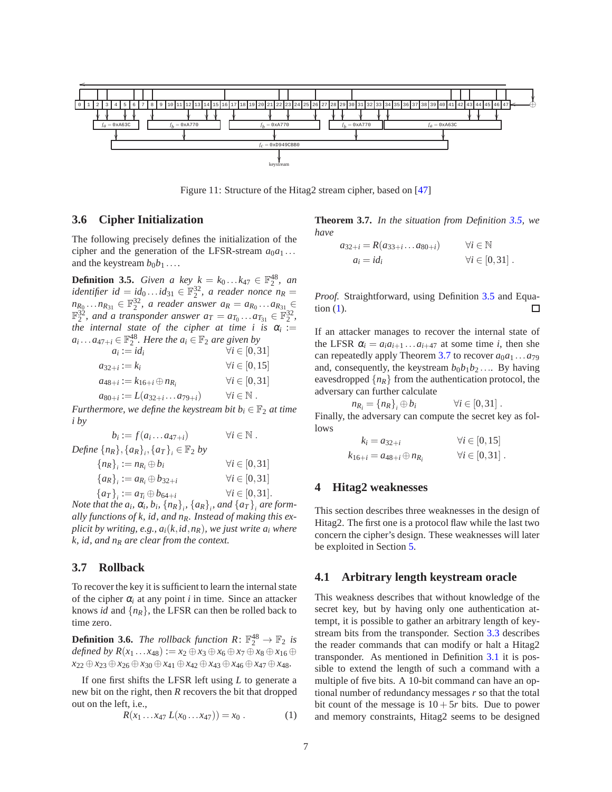<span id="page-6-1"></span>

Figure 11: Structure of the Hitag2 stream cipher, based on [\[47](#page-15-3)]

# <span id="page-6-5"></span>**3.6 Cipher Initialization**

The following precisely defines the initialization of the cipher and the generation of the LFSR-stream  $a_0a_1...$ and the keystream  $b_0b_1 \ldots$ 

<span id="page-6-2"></span>**Definition 3.5.** *Given a key*  $k = k_0...k_{47} \in \mathbb{F}_2^{48}$ *, an identifier id* =  $id_0...id_{31} \in \mathbb{F}_2^3$ , a reader nonce  $n_R$  =  $n_{R_0} \ldots n_{R_{31}} \in \mathbb{F}_2^{32}$ , a reader answer  $a_R = a_{R_0} \ldots a_{R_{31}} \in$  $\mathbb{F}_2^{32}$ , and a transponder answer  $a_T = a_{T_0} \dots a_{T_{31}} \in \mathbb{F}_2^{32}$ , *the internal state of the cipher at time i is*  $\alpha_i :=$  $a_i \dots a_{47+i} \in \mathbb{F}_2^{48}$ . Here the  $a_i \in \mathbb{F}_2$  are given by

| $a_i := id_i$                             | $\forall i \in [0,31]$       |
|-------------------------------------------|------------------------------|
| $a_{32+i} := k_i$                         | $\forall i \in [0, 15]$      |
| $a_{48+i} := k_{16+i} \oplus n_{R_i}$     | $\forall i \in [0,31]$       |
| $a_{80+i} := L(a_{32+i} \ldots a_{79+i})$ | $\forall i \in \mathbb{N}$ . |

*Furthermore, we define the keystream bit*  $b_i \in \mathbb{F}_2$  *at time i by*

| $b_i := f(a_i \dots a_{47+i})$                                 | $\forall i \in \mathbb{N}$ . |
|----------------------------------------------------------------|------------------------------|
| <i>Define</i> $\{n_R\}, \{a_R\}, \{a_T\}, \in \mathbb{F}_2$ by |                              |
| ${n_R}_i := n_{R_i} \oplus b_i$                                | $\forall i \in [0,31]$       |
| ${a_R}_i := a_{R_i} \oplus b_{32+i}$                           | $\forall i \in [0,31]$       |
| ${a_T}_i := a_{T_i} \oplus b_{64+i}$                           | $\forall i \in [0,31].$      |

*Note that the*  $a_i$ *,*  $\alpha_i$ *,*  $b_i$ *,*  $\{n_R\}_i$ *,*  $\{a_R\}_i$ *, and*  $\{a_T\}_i$  *are formally functions of k, id, and nR. Instead of making this explicit by writing, e.g., ai*(*k*,*id*,*nR*)*, we just write a<sup>i</sup> where k, id, and n<sup>R</sup> are clear from the context.*

#### <span id="page-6-0"></span>**3.7 Rollback**

To recover the key it is sufficient to learn the internal state of the cipher  $\alpha_i$  at any point *i* in time. Since an attacker knows *id* and  $\{n_R\}$ , the LFSR can then be rolled back to time zero.

**Definition 3.6.** *The rollback function*  $R: \mathbb{F}_2^{48} \to \mathbb{F}_2$  *is defined by*  $R(x_1 ... x_{48}) := x_2 ⊕ x_3 ⊕ x_6 ⊕ x_7 ⊕ x_8 ⊕ x_{16} ⊕$ *x*<sup>22</sup> ⊕*x*<sup>23</sup> ⊕*x*<sup>26</sup> ⊕*x*<sup>30</sup> ⊕*x*<sup>41</sup> ⊕*x*<sup>42</sup> ⊕*x*<sup>43</sup> ⊕*x*<sup>46</sup> ⊕*x*<sup>47</sup> ⊕*x*48*.*

<span id="page-6-4"></span>If one first shifts the LFSR left using *L* to generate a new bit on the right, then *R* recovers the bit that dropped out on the left, i.e.,

<span id="page-6-3"></span>
$$
R(x_1 \ldots x_{47} L(x_0 \ldots x_{47})) = x_0 . \tag{1}
$$

**Theorem 3.7.** *In the situation from Definition [3.5,](#page-6-2) we have*

$$
a_{32+i} = R(a_{33+i} \dots a_{80+i}) \qquad \forall i \in \mathbb{N}
$$
  
\n
$$
a_i = id_i \qquad \forall i \in [0,31].
$$

*Proof.* Straightforward, using Definition [3.5](#page-6-2) and Equation [\(1\)](#page-6-3). П

If an attacker manages to recover the internal state of the LFSR  $\alpha_i = a_i a_{i+1} \dots a_{i+47}$  at some time *i*, then she can repeatedly apply Theorem [3.7](#page-6-4) to recover  $a_0a_1...a_{79}$ and, consequently, the keystream  $b_0b_1b_2...$  By having eavesdropped  $\{n_R\}$  from the authentication protocol, the adversary can further calculate

$$
n_{R_i} = \{n_R\}_i \oplus b_i \qquad \forall i \in [0, 31].
$$
  
Finally, the adversary can compute the secret key as follows

$$
k_i = a_{32+i} \qquad \forall i \in [0, 15]
$$
  
\n
$$
k_{16+i} = a_{48+i} \oplus n_{R_i} \qquad \forall i \in [0, 31].
$$

#### **4 Hitag2 weaknesses**

This section describes three weaknesses in the design of Hitag2. The first one is a protocol flaw while the last two concern the cipher's design. These weaknesses will later be exploited in Section [5.](#page-8-0)

#### <span id="page-6-6"></span>**4.1 Arbitrary length keystream oracle**

This weakness describes that without knowledge of the secret key, but by having only one authentication attempt, it is possible to gather an arbitrary length of keystream bits from the transponder. Section [3.3](#page-4-2) describes the reader commands that can modify or halt a Hitag2 transponder. As mentioned in Definition [3.1](#page-4-3) it is possible to extend the length of such a command with a multiple of five bits. A 10-bit command can have an optional number of redundancy messages *r* so that the total bit count of the message is  $10+5r$  bits. Due to power and memory constraints, Hitag2 seems to be designed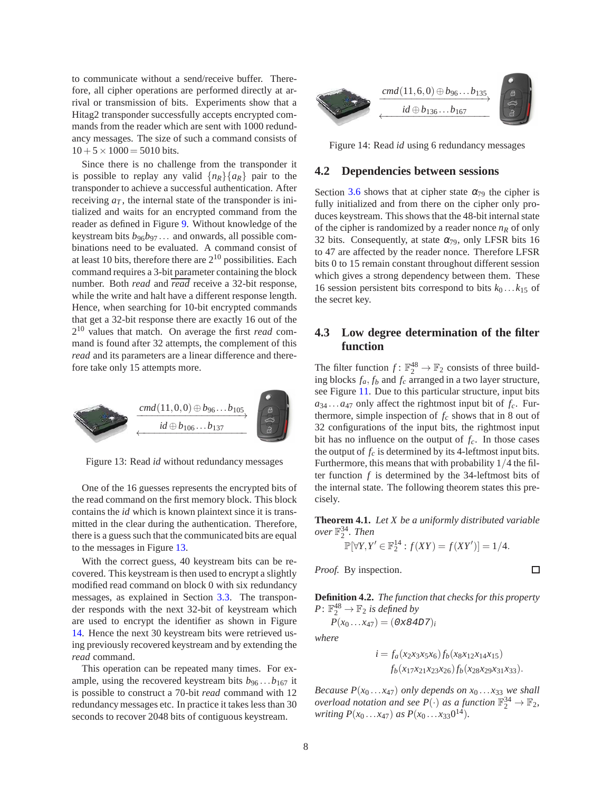to communicate without a send/receive buffer. Therefore, all cipher operations are performed directly at arrival or transmission of bits. Experiments show that a Hitag2 transponder successfully accepts encrypted commands from the reader which are sent with 1000 redundancy messages. The size of such a command consists of  $10+5\times 1000 = 5010$  bits.

Since there is no challenge from the transponder it is possible to replay any valid  $\{n_R\}\{a_R\}$  pair to the transponder to achieve a successful authentication. After receiving  $a_T$ , the internal state of the transponder is initialized and waits for an encrypted command from the reader as defined in Figure [9.](#page-4-1) Without knowledge of the keystream bits  $b_{96}b_{97} \dots$  and onwards, all possible combinations need to be evaluated. A command consist of at least 10 bits, therefore there are  $2^{10}$  possibilities. Each command requires a 3-bit parameter containing the block number. Both *read* and *read* receive a 32-bit response, while the write and halt have a different response length. Hence, when searching for 10-bit encrypted commands that get a 32-bit response there are exactly 16 out of the 2 <sup>10</sup> values that match. On average the first *read* command is found after 32 attempts, the complement of this *read* and its parameters are a linear difference and therefore take only 15 attempts more.

<span id="page-7-0"></span>

Figure 13: Read *id* without redundancy messages

One of the 16 guesses represents the encrypted bits of the read command on the first memory block. This block contains the *id* which is known plaintext since it is transmitted in the clear during the authentication. Therefore, there is a guess such that the communicated bits are equal to the messages in Figure [13.](#page-7-0)

With the correct guess, 40 keystream bits can be recovered. This keystream is then used to encrypt a slightly modified read command on block 0 with six redundancy messages, as explained in Section [3.3.](#page-4-2) The transponder responds with the next 32-bit of keystream which are used to encrypt the identifier as shown in Figure [14.](#page-7-1) Hence the next 30 keystream bits were retrieved using previously recovered keystream and by extending the *read* command.

This operation can be repeated many times. For example, using the recovered keystream bits  $b_{96} \dots b_{167}$  it is possible to construct a 70-bit *read* command with 12 redundancy messages etc. In practice it takes less than 30 seconds to recover 2048 bits of contiguous keystream.

<span id="page-7-1"></span>

Figure 14: Read *id* using 6 redundancy messages

#### <span id="page-7-2"></span>**4.2 Dependencies between sessions**

Section [3.6](#page-6-5) shows that at cipher state  $\alpha_{79}$  the cipher is fully initialized and from there on the cipher only produces keystream. This shows that the 48-bit internal state of the cipher is randomized by a reader nonce  $n<sub>R</sub>$  of only 32 bits. Consequently, at state  $\alpha_{79}$ , only LFSR bits 16 to 47 are affected by the reader nonce. Therefore LFSR bits 0 to 15 remain constant throughout different session which gives a strong dependency between them. These 16 session persistent bits correspond to bits  $k_0 \dots k_{15}$  of the secret key.

# <span id="page-7-3"></span>**4.3 Low degree determination of the filter function**

The filter function  $f: \mathbb{F}_2^{48} \to \mathbb{F}_2$  consists of three building blocks  $f_a$ ,  $f_b$  and  $f_c$  arranged in a two layer structure, see Figure [11.](#page-6-1) Due to this particular structure, input bits  $a_{34} \ldots a_{47}$  only affect the rightmost input bit of  $f_c$ . Furthermore, simple inspection of  $f_c$  shows that in 8 out of 32 configurations of the input bits, the rightmost input bit has no influence on the output of  $f_c$ . In those cases the output of  $f_c$  is determined by its 4-leftmost input bits. Furthermore, this means that with probability 1/4 the filter function *f* is determined by the 34-leftmost bits of the internal state. The following theorem states this precisely.

<span id="page-7-4"></span>**Theorem 4.1.** *Let X be a uniformly distributed variable over* F 34 2 *. Then*

$$
\mathbb{P}[\forall Y, Y' \in \mathbb{F}_2^{14} : f(XY) = f(XY')] = 1/4.
$$

*Proof.* By inspection.

 $\Box$ 

**Definition 4.2.** *The function that checks for this property*  $P: \mathbb{F}_2^{48} \to \mathbb{F}_2$  *is defined by* 

 $P(x_0...x_{47}) = (0 \times 84D7)_i$ 

*where*

$$
i = f_a(x_2x_3x_5x_6) f_b(x_8x_{12}x_{14}x_{15})
$$
  

$$
f_b(x_{17}x_{21}x_{23}x_{26}) f_b(x_{28}x_{29}x_{31}x_{33}).
$$

*Because P*( $x_0$ ... $x_{47}$ ) *only depends on*  $x_0$ ... $x_{33}$  *we shall overload notation and see*  $P(\cdot)$  *as a function*  $\mathbb{F}_2^{34} \to \mathbb{F}_2$ , *writing*  $P(x_0 \ldots x_{47})$  *as*  $P(x_0 \ldots x_{33}0^{14})$ *.*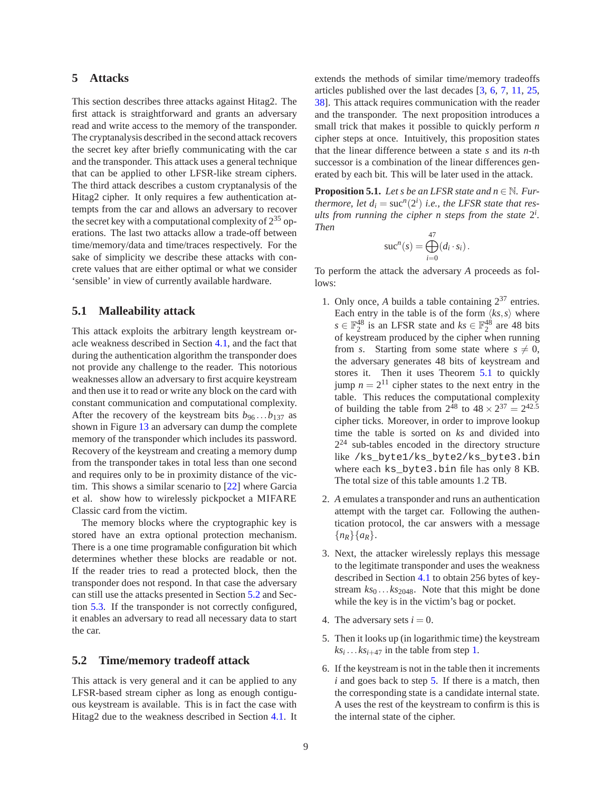## <span id="page-8-0"></span>**5 Attacks**

This section describes three attacks against Hitag2. The first attack is straightforward and grants an adversary read and write access to the memory of the transponder. The cryptanalysis described in the second attack recovers the secret key after briefly communicating with the car and the transponder. This attack uses a general technique that can be applied to other LFSR-like stream ciphers. The third attack describes a custom cryptanalysis of the Hitag2 cipher. It only requires a few authentication attempts from the car and allows an adversary to recover the secret key with a computational complexity of  $2^{35}$  operations. The last two attacks allow a trade-off between time/memory/data and time/traces respectively. For the sake of simplicity we describe these attacks with concrete values that are either optimal or what we consider 'sensible' in view of currently available hardware.

#### <span id="page-8-5"></span>**5.1 Malleability attack**

This attack exploits the arbitrary length keystream oracle weakness described in Section [4.1,](#page-6-6) and the fact that during the authentication algorithm the transponder does not provide any challenge to the reader. This notorious weaknesses allow an adversary to first acquire keystream and then use it to read or write any block on the card with constant communication and computational complexity. After the recovery of the keystream bits  $b_{96} \dots b_{137}$  as shown in Figure [13](#page-7-0) an adversary can dump the complete memory of the transponder which includes its password. Recovery of the keystream and creating a memory dump from the transponder takes in total less than one second and requires only to be in proximity distance of the victim. This shows a similar scenario to [\[22](#page-14-6)] where Garcia et al. show how to wirelessly pickpocket a MIFARE Classic card from the victim.

The memory blocks where the cryptographic key is stored have an extra optional protection mechanism. There is a one time programable configuration bit which determines whether these blocks are readable or not. If the reader tries to read a protected block, then the transponder does not respond. In that case the adversary can still use the attacks presented in Section [5.2](#page-8-1) and Section [5.3.](#page-9-0) If the transponder is not correctly configured, it enables an adversary to read all necessary data to start the car.

## <span id="page-8-1"></span>**5.2 Time/memory tradeoff attack**

This attack is very general and it can be applied to any LFSR-based stream cipher as long as enough contiguous keystream is available. This is in fact the case with Hitag2 due to the weakness described in Section [4.1.](#page-6-6) It extends the methods of similar time/memory tradeoffs articles published over the last decades [\[3,](#page-13-6) [6,](#page-13-7) [7](#page-13-8), [11,](#page-13-9) [25,](#page-14-12) [38\]](#page-15-7). This attack requires communication with the reader and the transponder. The next proposition introduces a small trick that makes it possible to quickly perform *n* cipher steps at once. Intuitively, this proposition states that the linear difference between a state *s* and its *n*-th successor is a combination of the linear differences generated by each bit. This will be later used in the attack.

<span id="page-8-2"></span>**Proposition 5.1.** *Let s be an LFSR state and n*  $\in$  N. *Furthermore, let*  $d_i = \text{suc}^n(2^i)$  *i.e., the LFSR state that res*ults from running the cipher *n* steps from the state  $2^{i}$ . *Then*

$$
\mathrm{suc}^n(s) = \bigoplus_{i=0}^{47} (d_i \cdot s_i).
$$

<span id="page-8-3"></span>To perform the attack the adversary *A* proceeds as follows:

- 1. Only once, A builds a table containing  $2^{37}$  entries. Each entry in the table is of the form  $\langle ks, s \rangle$  where  $s \in \mathbb{F}_2^{48}$  is an LFSR state and  $ks \in \mathbb{F}_2^{48}$  are 48 bits of keystream produced by the cipher when running from *s*. Starting from some state where  $s \neq 0$ , the adversary generates 48 bits of keystream and stores it. Then it uses Theorem [5.1](#page-8-2) to quickly jump  $n = 2^{11}$  cipher states to the next entry in the table. This reduces the computational complexity of building the table from  $2^{48}$  to  $48 \times 2^{37} = 2^{42.5}$ cipher ticks. Moreover, in order to improve lookup time the table is sorted on *ks* and divided into  $2<sup>24</sup>$  sub-tables encoded in the directory structure like /ks\_byte1/ks\_byte2/ks\_byte3.bin where each ks byte3.bin file has only 8 KB. The total size of this table amounts 1.2 TB.
- 2. *A* emulates a transponder and runs an authentication attempt with the target car. Following the authentication protocol, the car answers with a message {*nR*}{*aR*}.
- 3. Next, the attacker wirelessly replays this message to the legitimate transponder and uses the weakness described in Section [4.1](#page-6-6) to obtain 256 bytes of keystream  $ks_0 \dots ks_{2048}$ . Note that this might be done while the key is in the victim's bag or pocket.
- <span id="page-8-4"></span>4. The adversary sets  $i = 0$ .
- 5. Then it looks up (in logarithmic time) the keystream  $ks_i \dots ks_{i+47}$  in the table from step [1.](#page-8-3)
- 6. If the keystream is not in the table then it increments *i* and goes back to step [5.](#page-8-4) If there is a match, then the corresponding state is a candidate internal state. A uses the rest of the keystream to confirm is this is the internal state of the cipher.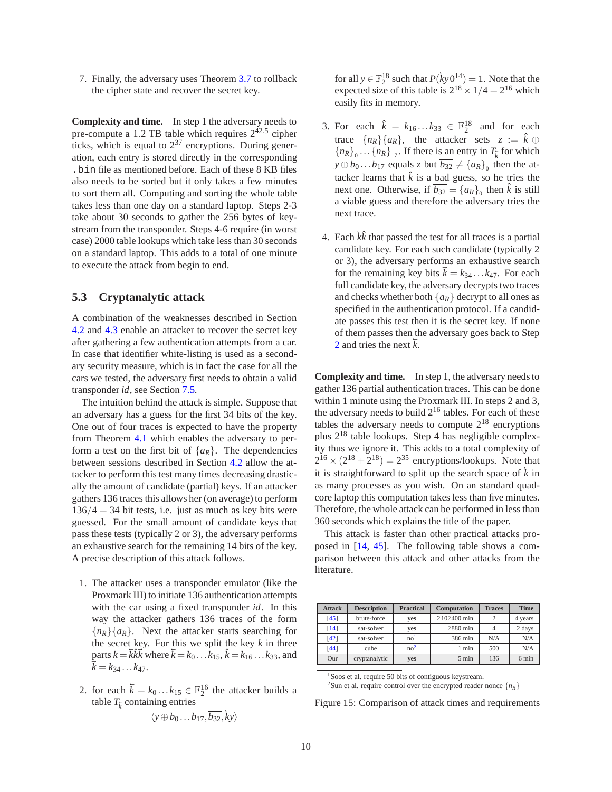7. Finally, the adversary uses Theorem [3.7](#page-6-4) to rollback the cipher state and recover the secret key.

**Complexity and time.** In step 1 the adversary needs to pre-compute a 1.2 TB table which requires  $2^{42.5}$  cipher ticks, which is equal to  $2^{37}$  encryptions. During generation, each entry is stored directly in the corresponding .bin file as mentioned before. Each of these 8 KB files also needs to be sorted but it only takes a few minutes to sort them all. Computing and sorting the whole table takes less than one day on a standard laptop. Steps 2-3 take about 30 seconds to gather the 256 bytes of keystream from the transponder. Steps 4-6 require (in worst case) 2000 table lookups which take less than 30 seconds on a standard laptop. This adds to a total of one minute to execute the attack from begin to end.

## <span id="page-9-0"></span>**5.3 Cryptanalytic attack**

A combination of the weaknesses described in Section [4.2](#page-7-2) and [4.3](#page-7-3) enable an attacker to recover the secret key after gathering a few authentication attempts from a car. In case that identifier white-listing is used as a secondary security measure, which is in fact the case for all the cars we tested, the adversary first needs to obtain a valid transponder *id*, see Section [7.5.](#page-11-0)

The intuition behind the attack is simple. Suppose that an adversary has a guess for the first 34 bits of the key. One out of four traces is expected to have the property from Theorem [4.1](#page-7-4) which enables the adversary to perform a test on the first bit of  $\{a_R\}$ . The dependencies between sessions described in Section [4.2](#page-7-2) allow the attacker to perform this test many times decreasing drastically the amount of candidate (partial) keys. If an attacker gathers 136 traces this allows her (on average) to perform  $136/4 = 34$  bit tests, i.e. just as much as key bits were guessed. For the small amount of candidate keys that pass these tests (typically 2 or 3), the adversary performs an exhaustive search for the remaining 14 bits of the key. A precise description of this attack follows.

- 1. The attacker uses a transponder emulator (like the Proxmark III) to initiate 136 authentication attempts with the car using a fixed transponder *id*. In this way the attacker gathers 136 traces of the form  ${n_R}$ { $a_R$ }. Next the attacker starts searching for the secret key. For this we split the key  $k$  in three  $\bar{k} = k\bar{k}$  where  $\bar{k} = k_0 \dots k_{15}$ ,  $\hat{k} = k_{16} \dots k_{33}$ , and  $k = k_{34} \dots k_{47}.$
- <span id="page-9-1"></span>2. for each  $\overline{k} = k_0 ... k_{15} \in \mathbb{F}_2^{16}$  the attacker builds a table  $T_{\overline{k}}$  containing entries

$$
\langle y \oplus b_0 \dots b_{17}, \overline{b_{32}}, \overline{k}y \rangle
$$

for all  $y \in \mathbb{F}_2^{18}$  such that  $P(\overline{ky}0^{14}) = 1$ . Note that the expected size of this table is  $2^{18} \times 1/4 = 2^{16}$  which easily fits in memory.

- 3. For each  $\hat{k} = k_{16}...k_{33} \in \mathbb{F}_2^{18}$  and for each trace  $\{n_R\}\{a_R\}$ , the attacker sets  $z := \hat{k} \oplus \hat{k}$  ${n_R}_{0}$ ... ${n_R}_{17}$ . If there is an entry in  $T_{\overline{k}}$  for which  $y \oplus b_0...b_{17}$  equals *z* but  $\overline{b_{32}} \neq {\{a_R\}}_0$  then the attacker learns that  $\hat{k}$  is a bad guess, so he tries the next one. Otherwise, if  $\overline{b_{32}} = \{a_R\}$  then  $\hat{k}$  is still a viable guess and therefore the adversary tries the next trace.
- 4. Each  $\overline{k}\hat{k}$  that passed the test for all traces is a partial candidate key. For each such candidate (typically 2 or 3), the adversary performs an exhaustive search for the remaining key bits  $k = k_{34} \dots k_{47}$ . For each full candidate key, the adversary decrypts two traces and checks whether both  $\{a_R\}$  decrypt to all ones as specified in the authentication protocol. If a candidate passes this test then it is the secret key. If none of them passes then the adversary goes back to Step [2](#page-9-1) and tries the next  $\overline{k}$ .

**Complexity and time.** In step 1, the adversary needs to gather 136 partial authentication traces. This can be done within 1 minute using the Proxmark III. In steps 2 and 3, the adversary needs to build  $2^{16}$  tables. For each of these tables the adversary needs to compute  $2^{18}$  encryptions plus  $2^{18}$  table lookups. Step 4 has negligible complexity thus we ignore it. This adds to a total complexity of  $2^{16} \times (2^{18} + 2^{18}) = 2^{35}$  encryptions/lookups. Note that it is straightforward to split up the search space of  $\overline{k}$  in as many processes as you wish. On an standard quadcore laptop this computation takes less than five minutes. Therefore, the whole attack can be performed in less than 360 seconds which explains the title of the paper.

This attack is faster than other practical attacks proposed in [\[14](#page-14-10), [45\]](#page-15-5). The following table shows a comparison between this attack and other attacks from the literature.

| <b>Attack</b> | <b>Description</b> | <b>Practical</b> | Computation     | <b>Traces</b>  | <b>Time</b>     |
|---------------|--------------------|------------------|-----------------|----------------|-----------------|
| [45]          | brute-force        | ves              | 2102400 min     | $\overline{c}$ | 4 years         |
| [14]          | sat-solver         | ves              | 2880 min        |                | 2 days          |
| $[42]$        | sat-solver         | no <sup>1</sup>  | 386 min         | N/A            | N/A             |
| [44]          | cube               | no <sup>2</sup>  | 1 min           | 500            | N/A             |
| Our           | cryptanalytic      | yes              | $5 \text{ min}$ | 136            | $6 \text{ min}$ |

<sup>1</sup>Soos et al. require 50 bits of contiguous keystream.

<span id="page-9-3"></span><span id="page-9-2"></span><sup>2</sup>Sun et al. require control over the encrypted reader nonce  ${n_R}$ 

Figure 15: Comparison of attack times and requirements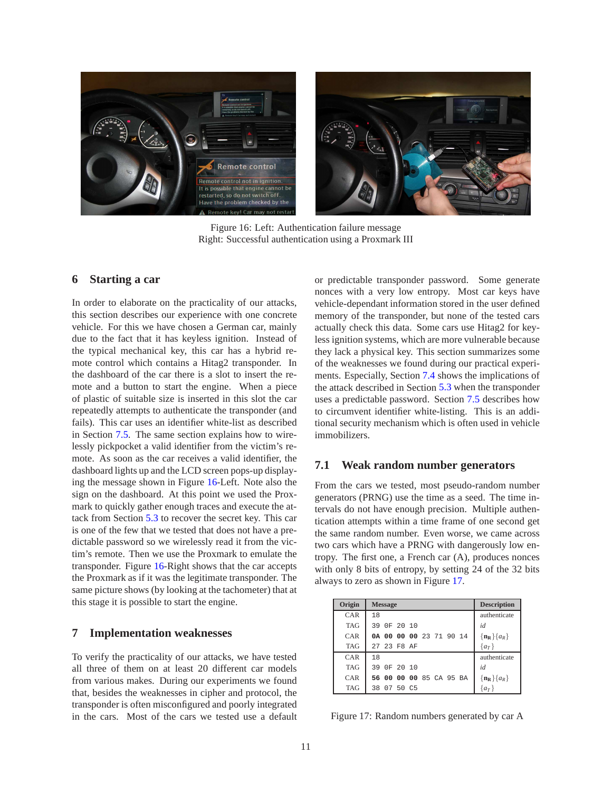<span id="page-10-0"></span>

Figure 16: Left: Authentication failure message Right: Successful authentication using a Proxmark III

## **6 Starting a car**

In order to elaborate on the practicality of our attacks, this section describes our experience with one concrete vehicle. For this we have chosen a German car, mainly due to the fact that it has keyless ignition. Instead of the typical mechanical key, this car has a hybrid remote control which contains a Hitag2 transponder. In the dashboard of the car there is a slot to insert the remote and a button to start the engine. When a piece of plastic of suitable size is inserted in this slot the car repeatedly attempts to authenticate the transponder (and fails). This car uses an identifier white-list as described in Section [7.5.](#page-11-0) The same section explains how to wirelessly pickpocket a valid identifier from the victim's remote. As soon as the car receives a valid identifier, the dashboard lights up and the LCD screen pops-up displaying the message shown in Figure [16-](#page-10-0)Left. Note also the sign on the dashboard. At this point we used the Proxmark to quickly gather enough traces and execute the attack from Section [5.3](#page-9-0) to recover the secret key. This car is one of the few that we tested that does not have a predictable password so we wirelessly read it from the victim's remote. Then we use the Proxmark to emulate the transponder. Figure [16-](#page-10-0)Right shows that the car accepts the Proxmark as if it was the legitimate transponder. The same picture shows (by looking at the tachometer) that at this stage it is possible to start the engine.

#### **7 Implementation weaknesses**

To verify the practicality of our attacks, we have tested all three of them on at least 20 different car models from various makes. During our experiments we found that, besides the weaknesses in cipher and protocol, the transponder is often misconfigured and poorly integrated in the cars. Most of the cars we tested use a default or predictable transponder password. Some generate nonces with a very low entropy. Most car keys have vehicle-dependant information stored in the user defined memory of the transponder, but none of the tested cars actually check this data. Some cars use Hitag2 for keyless ignition systems, which are more vulnerable because they lack a physical key. This section summarizes some of the weaknesses we found during our practical experiments. Especially, Section [7.4](#page-11-1) shows the implications of the attack described in Section [5.3](#page-9-0) when the transponder uses a predictable password. Section [7.5](#page-11-0) describes how to circumvent identifier white-listing. This is an additional security mechanism which is often used in vehicle immobilizers.

## **7.1 Weak random number generators**

From the cars we tested, most pseudo-random number generators (PRNG) use the time as a seed. The time intervals do not have enough precision. Multiple authentication attempts within a time frame of one second get the same random number. Even worse, we came across two cars which have a PRNG with dangerously low entropy. The first one, a French car (A), produces nonces with only 8 bits of entropy, by setting 24 of the 32 bits always to zero as shown in Figure [17.](#page-10-1)

<span id="page-10-1"></span>

| Origin     | <b>Message</b>          | <b>Description</b>                 |
|------------|-------------------------|------------------------------------|
| CAR        | 18                      | authenticate                       |
| <b>TAG</b> | OF 20 10<br>39          | id                                 |
| CAR        | 0A 00 00 00 23 71 90 14 | $\{\mathbf{n}_\mathbf{R}\}\{a_R\}$ |
| <b>TAG</b> | 27 23 F8 AF             | $\{a_T\}$                          |
| CAR        | 18                      | authenticate                       |
| <b>TAG</b> | OF 20 10<br>39          | id                                 |
| CAR        | 56 00 00 00 85 CA 95 BA | $\{n_R\}\{a_R\}$                   |
| <b>TAG</b> | 07 50 C.5<br>38         | $\{a_T\}$                          |

Figure 17: Random numbers generated by car A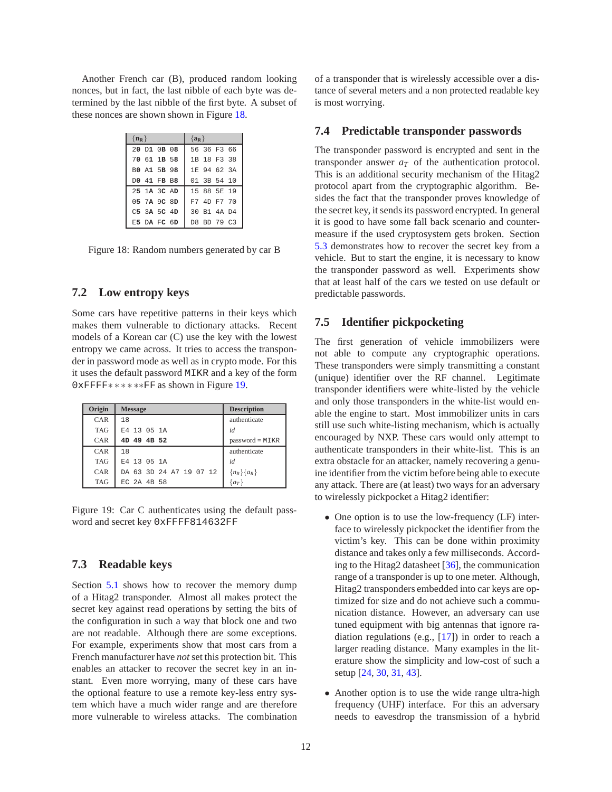<span id="page-11-2"></span>Another French car (B), produced random looking nonces, but in fact, the last nibble of each byte was determined by the last nibble of the first byte. A subset of these nonces are shown shown in Figure [18.](#page-11-2)

| $\{ {\bf n_R} \}$ | $\{a_R\}$   |
|-------------------|-------------|
| 20 D1 0B 08       | 56 36 F3 66 |
| 70 61 1B 58       | 1B 18 F3 38 |
| BO A1 5B 98       | 1E 94 62 3A |
| DO 41 FB B8       | 01 3B 54 10 |
| 25 1A 3C AD       | 15 88 5E 19 |
| 05 7A 9C 8D       | F7 4D F7 70 |
| $C5$ 3A 5C 4D     | 30 B1 4A D4 |
| E5 DA FC 6D       | D8 BD 79 C3 |

Figure 18: Random numbers generated by car B

## **7.2 Low entropy keys**

Some cars have repetitive patterns in their keys which makes them vulnerable to dictionary attacks. Recent models of a Korean car (C) use the key with the lowest entropy we came across. It tries to access the transponder in password mode as well as in crypto mode. For this it uses the default password MIKR and a key of the form 0xFFFF∗ ∗ ∗ ∗ ∗∗FF as shown in Figure [19.](#page-11-3)

<span id="page-11-3"></span>

| Origin     | <b>Message</b>          | <b>Description</b> |
|------------|-------------------------|--------------------|
| CAR        | 18                      | authenticate       |
| <b>TAG</b> | E4 13 05 1A             | id                 |
| CAR        | 4D 49 4B 52             | $password = MIKR$  |
| CAR        | 18                      | authenticate       |
| <b>TAG</b> | E4 13 05 1A             | id                 |
| CAR        | DA 63 3D 24 A7 19 07 12 | ${n_R}$ { $a_R$ }  |
| <b>TAG</b> | EC 2A 4B 58             | $\{a_T\}$          |

Figure 19: Car C authenticates using the default password and secret key 0xFFFF814632FF

## **7.3 Readable keys**

Section [5.1](#page-8-5) shows how to recover the memory dump of a Hitag2 transponder. Almost all makes protect the secret key against read operations by setting the bits of the configuration in such a way that block one and two are not readable. Although there are some exceptions. For example, experiments show that most cars from a French manufacturer have *not* set this protection bit. This enables an attacker to recover the secret key in an instant. Even more worrying, many of these cars have the optional feature to use a remote key-less entry system which have a much wider range and are therefore more vulnerable to wireless attacks. The combination

of a transponder that is wirelessly accessible over a distance of several meters and a non protected readable key is most worrying.

#### <span id="page-11-1"></span>**7.4 Predictable transponder passwords**

The transponder password is encrypted and sent in the transponder answer  $a<sub>T</sub>$  of the authentication protocol. This is an additional security mechanism of the Hitag2 protocol apart from the cryptographic algorithm. Besides the fact that the transponder proves knowledge of the secret key, it sends its password encrypted. In general it is good to have some fall back scenario and countermeasure if the used cryptosystem gets broken. Section [5.3](#page-9-0) demonstrates how to recover the secret key from a vehicle. But to start the engine, it is necessary to know the transponder password as well. Experiments show that at least half of the cars we tested on use default or predictable passwords.

## <span id="page-11-0"></span>**7.5 Identifier pickpocketing**

The first generation of vehicle immobilizers were not able to compute any cryptographic operations. These transponders were simply transmitting a constant (unique) identifier over the RF channel. Legitimate transponder identifiers were white-listed by the vehicle and only those transponders in the white-list would enable the engine to start. Most immobilizer units in cars still use such white-listing mechanism, which is actually encouraged by NXP. These cars would only attempt to authenticate transponders in their white-list. This is an extra obstacle for an attacker, namely recovering a genuine identifier from the victim before being able to execute any attack. There are (at least) two ways for an adversary to wirelessly pickpocket a Hitag2 identifier:

- One option is to use the low-frequency (LF) interface to wirelessly pickpocket the identifier from the victim's key. This can be done within proximity distance and takes only a few milliseconds. According to the Hitag2 datasheet [\[36\]](#page-15-2), the communication range of a transponder is up to one meter. Although, Hitag2 transponders embedded into car keys are optimized for size and do not achieve such a communication distance. However, an adversary can use tuned equipment with big antennas that ignore radiation regulations (e.g., [\[17\]](#page-14-14)) in order to reach a larger reading distance. Many examples in the literature show the simplicity and low-cost of such a setup [\[24,](#page-14-15) [30,](#page-14-16) [31,](#page-14-17) [43\]](#page-15-8).
- Another option is to use the wide range ultra-high frequency (UHF) interface. For this an adversary needs to eavesdrop the transmission of a hybrid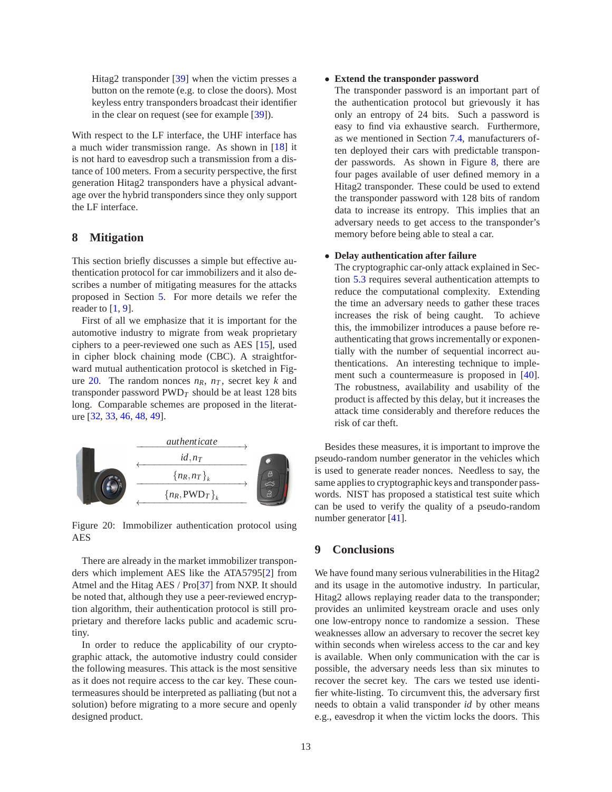Hitag2 transponder [\[39\]](#page-15-9) when the victim presses a button on the remote (e.g. to close the doors). Most keyless entry transponders broadcast their identifier in the clear on request (see for example [\[39\]](#page-15-9)).

With respect to the LF interface, the UHF interface has a much wider transmission range. As shown in [\[18\]](#page-14-1) it is not hard to eavesdrop such a transmission from a distance of 100 meters. From a security perspective, the first generation Hitag2 transponders have a physical advantage over the hybrid transponders since they only support the LF interface.

## **8 Mitigation**

This section briefly discusses a simple but effective authentication protocol for car immobilizers and it also describes a number of mitigating measures for the attacks proposed in Section [5.](#page-8-0) For more details we refer the reader to  $[1, 9]$  $[1, 9]$ .

First of all we emphasize that it is important for the automotive industry to migrate from weak proprietary ciphers to a peer-reviewed one such as AES [\[15\]](#page-14-13), used in cipher block chaining mode (CBC). A straightforward mutual authentication protocol is sketched in Fig-ure [20.](#page-12-0) The random nonces  $n_R$ ,  $n_T$ , secret key *k* and transponder password  $\text{PWD}_T$  should be at least 128 bits long. Comparable schemes are proposed in the literature [\[32,](#page-15-10) [33,](#page-15-11) [46](#page-15-12), [48](#page-15-13), [49](#page-15-14)].

<span id="page-12-0"></span>

Figure 20: Immobilizer authentication protocol using AES

There are already in the market immobilizer transponders which implement AES like the ATA5795[\[2\]](#page-13-12) from Atmel and the Hitag AES / Pro[\[37\]](#page-15-15) from NXP. It should be noted that, although they use a peer-reviewed encryption algorithm, their authentication protocol is still proprietary and therefore lacks public and academic scrutiny.

In order to reduce the applicability of our cryptographic attack, the automotive industry could consider the following measures. This attack is the most sensitive as it does not require access to the car key. These countermeasures should be interpreted as palliating (but not a solution) before migrating to a more secure and openly designed product.

#### • **Extend the transponder password**

The transponder password is an important part of the authentication protocol but grievously it has only an entropy of 24 bits. Such a password is easy to find via exhaustive search. Furthermore, as we mentioned in Section [7.4,](#page-11-1) manufacturers often deployed their cars with predictable transponder passwords. As shown in Figure [8,](#page-4-0) there are four pages available of user defined memory in a Hitag2 transponder. These could be used to extend the transponder password with 128 bits of random data to increase its entropy. This implies that an adversary needs to get access to the transponder's memory before being able to steal a car.

#### • **Delay authentication after failure**

The cryptographic car-only attack explained in Section [5.3](#page-9-0) requires several authentication attempts to reduce the computational complexity. Extending the time an adversary needs to gather these traces increases the risk of being caught. To achieve this, the immobilizer introduces a pause before reauthenticating that grows incrementally or exponentially with the number of sequential incorrect authentications. An interesting technique to implement such a countermeasure is proposed in [\[40](#page-15-16)]. The robustness, availability and usability of the product is affected by this delay, but it increases the attack time considerably and therefore reduces the risk of car theft.

Besides these measures, it is important to improve the pseudo-random number generator in the vehicles which is used to generate reader nonces. Needless to say, the same applies to cryptographic keys and transponder passwords. NIST has proposed a statistical test suite which can be used to verify the quality of a pseudo-random number generator [\[41\]](#page-15-17).

## **9 Conclusions**

We have found many serious vulnerabilities in the Hitag2 and its usage in the automotive industry. In particular, Hitag2 allows replaying reader data to the transponder; provides an unlimited keystream oracle and uses only one low-entropy nonce to randomize a session. These weaknesses allow an adversary to recover the secret key within seconds when wireless access to the car and key is available. When only communication with the car is possible, the adversary needs less than six minutes to recover the secret key. The cars we tested use identifier white-listing. To circumvent this, the adversary first needs to obtain a valid transponder *id* by other means e.g., eavesdrop it when the victim locks the doors. This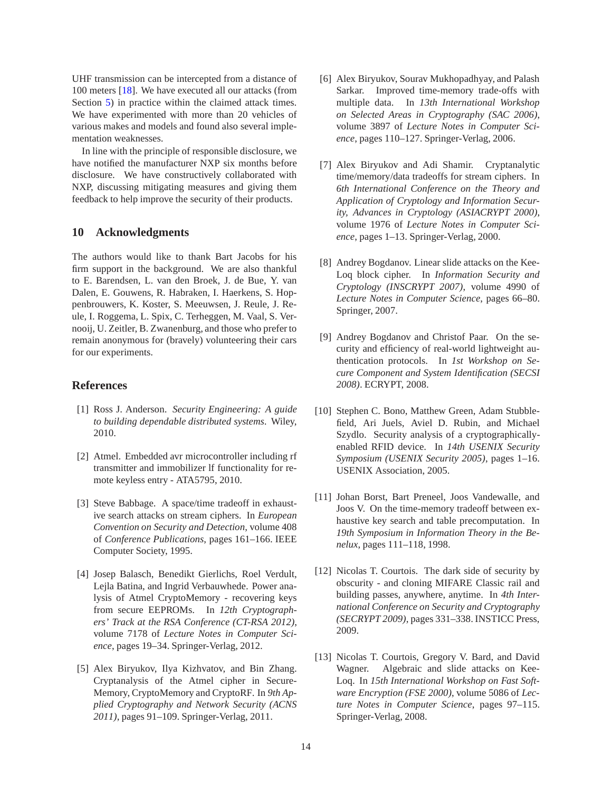UHF transmission can be intercepted from a distance of 100 meters [\[18](#page-14-1)]. We have executed all our attacks (from Section [5\)](#page-8-0) in practice within the claimed attack times. We have experimented with more than 20 vehicles of various makes and models and found also several implementation weaknesses.

In line with the principle of responsible disclosure, we have notified the manufacturer NXP six months before disclosure. We have constructively collaborated with NXP, discussing mitigating measures and giving them feedback to help improve the security of their products.

#### **10 Acknowledgments**

The authors would like to thank Bart Jacobs for his firm support in the background. We are also thankful to E. Barendsen, L. van den Broek, J. de Bue, Y. van Dalen, E. Gouwens, R. Habraken, I. Haerkens, S. Hoppenbrouwers, K. Koster, S. Meeuwsen, J. Reule, J. Reule, I. Roggema, L. Spix, C. Terheggen, M. Vaal, S. Vernooij, U. Zeitler, B. Zwanenburg, and those who prefer to remain anonymous for (bravely) volunteering their cars for our experiments.

# **References**

- <span id="page-13-10"></span>[1] Ross J. Anderson. *Security Engineering: A guide to building dependable distributed systems*. Wiley, 2010.
- <span id="page-13-12"></span>[2] Atmel. Embedded avr microcontroller including rf transmitter and immobilizer lf functionality for remote keyless entry - ATA5795, 2010.
- <span id="page-13-6"></span>[3] Steve Babbage. A space/time tradeoff in exhaustive search attacks on stream ciphers. In *European Convention on Security and Detection*, volume 408 of *Conference Publications*, pages 161–166. IEEE Computer Society, 1995.
- <span id="page-13-4"></span>[4] Josep Balasch, Benedikt Gierlichs, Roel Verdult, Lejla Batina, and Ingrid Verbauwhede. Power analysis of Atmel CryptoMemory - recovering keys from secure EEPROMs. In *12th Cryptographers' Track at the RSA Conference (CT-RSA 2012)*, volume 7178 of *Lecture Notes in Computer Science*, pages 19–34. Springer-Verlag, 2012.
- <span id="page-13-5"></span>[5] Alex Biryukov, Ilya Kizhvatov, and Bin Zhang. Cryptanalysis of the Atmel cipher in Secure-Memory, CryptoMemory and CryptoRF. In *9th Applied Cryptography and Network Security (ACNS 2011)*, pages 91–109. Springer-Verlag, 2011.
- <span id="page-13-7"></span>[6] Alex Biryukov, Sourav Mukhopadhyay, and Palash Sarkar. Improved time-memory trade-offs with multiple data. In *13th International Workshop on Selected Areas in Cryptography (SAC 2006)*, volume 3897 of *Lecture Notes in Computer Science*, pages 110–127. Springer-Verlag, 2006.
- <span id="page-13-8"></span>[7] Alex Biryukov and Adi Shamir. Cryptanalytic time/memory/data tradeoffs for stream ciphers. In *6th International Conference on the Theory and Application of Cryptology and Information Security, Advances in Cryptology (ASIACRYPT 2000)*, volume 1976 of *Lecture Notes in Computer Science*, pages 1–13. Springer-Verlag, 2000.
- <span id="page-13-1"></span>[8] Andrey Bogdanov. Linear slide attacks on the Kee-Loq block cipher. In *Information Security and Cryptology (INSCRYPT 2007)*, volume 4990 of *Lecture Notes in Computer Science*, pages 66–80. Springer, 2007.
- <span id="page-13-11"></span>[9] Andrey Bogdanov and Christof Paar. On the security and efficiency of real-world lightweight authentication protocols. In *1st Workshop on Secure Component and System Identification (SECSI 2008)*. ECRYPT, 2008.
- <span id="page-13-0"></span>[10] Stephen C. Bono, Matthew Green, Adam Stubblefield, Ari Juels, Aviel D. Rubin, and Michael Szydlo. Security analysis of a cryptographicallyenabled RFID device. In *14th USENIX Security Symposium (USENIX Security 2005)*, pages 1–16. USENIX Association, 2005.
- <span id="page-13-9"></span>[11] Johan Borst, Bart Preneel, Joos Vandewalle, and Joos V. On the time-memory tradeoff between exhaustive key search and table precomputation. In *19th Symposium in Information Theory in the Benelux*, pages 111–118, 1998.
- <span id="page-13-3"></span>[12] Nicolas T. Courtois. The dark side of security by obscurity - and cloning MIFARE Classic rail and building passes, anywhere, anytime. In *4th International Conference on Security and Cryptography (SECRYPT 2009)*, pages 331–338. INSTICC Press, 2009.
- <span id="page-13-2"></span>[13] Nicolas T. Courtois, Gregory V. Bard, and David Wagner. Algebraic and slide attacks on Kee-Loq. In *15th International Workshop on Fast Software Encryption (FSE 2000)*, volume 5086 of *Lecture Notes in Computer Science*, pages 97–115. Springer-Verlag, 2008.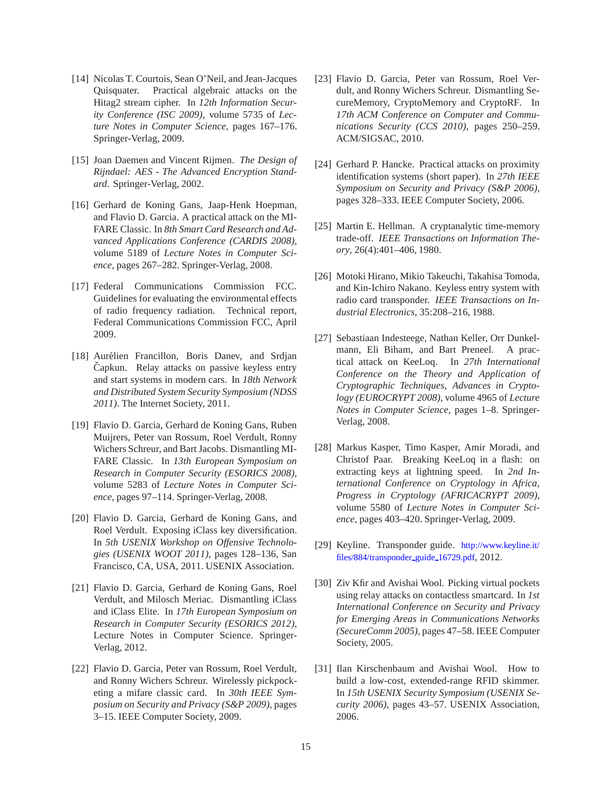- <span id="page-14-10"></span>[14] Nicolas T. Courtois, Sean O'Neil, and Jean-Jacques Quisquater. Practical algebraic attacks on the Hitag2 stream cipher. In *12th Information Security Conference (ISC 2009)*, volume 5735 of *Lecture Notes in Computer Science*, pages 167–176. Springer-Verlag, 2009.
- <span id="page-14-13"></span>[15] Joan Daemen and Vincent Rijmen. *The Design of Rijndael: AES - The Advanced Encryption Standard*. Springer-Verlag, 2002.
- <span id="page-14-11"></span>[16] Gerhard de Koning Gans, Jaap-Henk Hoepman, and Flavio D. Garcia. A practical attack on the MI-FARE Classic. In *8th Smart Card Research and Advanced Applications Conference (CARDIS 2008)*, volume 5189 of *Lecture Notes in Computer Science*, pages 267–282. Springer-Verlag, 2008.
- <span id="page-14-14"></span>[17] Federal Communications Commission FCC. Guidelines for evaluating the environmental effects of radio frequency radiation. Technical report, Federal Communications Commission FCC, April 2009.
- <span id="page-14-1"></span>[18] Aurélien Francillon, Boris Danev, and Srdjan Čapkun. Relay attacks on passive keyless entry and start systems in modern cars. In *18th Network and Distributed System Security Symposium (NDSS 2011)*. The Internet Society, 2011.
- <span id="page-14-5"></span>[19] Flavio D. Garcia, Gerhard de Koning Gans, Ruben Muijrers, Peter van Rossum, Roel Verdult, Ronny Wichers Schreur, and Bart Jacobs. Dismantling MI-FARE Classic. In *13th European Symposium on Research in Computer Security (ESORICS 2008)*, volume 5283 of *Lecture Notes in Computer Science*, pages 97–114. Springer-Verlag, 2008.
- <span id="page-14-8"></span>[20] Flavio D. Garcia, Gerhard de Koning Gans, and Roel Verdult. Exposing iClass key diversification. In *5th USENIX Workshop on Offensive Technologies (USENIX WOOT 2011)*, pages 128–136, San Francisco, CA, USA, 2011. USENIX Association.
- <span id="page-14-9"></span>[21] Flavio D. Garcia, Gerhard de Koning Gans, Roel Verdult, and Milosch Meriac. Dismantling iClass and iClass Elite. In *17th European Symposium on Research in Computer Security (ESORICS 2012)*, Lecture Notes in Computer Science. Springer-Verlag, 2012.
- <span id="page-14-6"></span>[22] Flavio D. Garcia, Peter van Rossum, Roel Verdult, and Ronny Wichers Schreur. Wirelessly pickpocketing a mifare classic card. In *30th IEEE Symposium on Security and Privacy (S&P 2009)*, pages 3–15. IEEE Computer Society, 2009.
- <span id="page-14-7"></span>[23] Flavio D. Garcia, Peter van Rossum, Roel Verdult, and Ronny Wichers Schreur. Dismantling SecureMemory, CryptoMemory and CryptoRF. In *17th ACM Conference on Computer and Communications Security (CCS 2010)*, pages 250–259. ACM/SIGSAC, 2010.
- <span id="page-14-15"></span>[24] Gerhard P. Hancke. Practical attacks on proximity identification systems (short paper). In *27th IEEE Symposium on Security and Privacy (S&P 2006)*, pages 328–333. IEEE Computer Society, 2006.
- <span id="page-14-12"></span>[25] Martin E. Hellman. A cryptanalytic time-memory trade-off. *IEEE Transactions on Information Theory*, 26(4):401–406, 1980.
- <span id="page-14-0"></span>[26] Motoki Hirano, Mikio Takeuchi, Takahisa Tomoda, and Kin-Ichiro Nakano. Keyless entry system with radio card transponder. *IEEE Transactions on Industrial Electronics*, 35:208–216, 1988.
- <span id="page-14-3"></span>[27] Sebastiaan Indesteege, Nathan Keller, Orr Dunkelmann, Eli Biham, and Bart Preneel. A practical attack on KeeLoq. In *27th International Conference on the Theory and Application of Cryptographic Techniques, Advances in Cryptology (EUROCRYPT 2008)*, volume 4965 of *Lecture Notes in Computer Science*, pages 1–8. Springer-Verlag, 2008.
- <span id="page-14-4"></span>[28] Markus Kasper, Timo Kasper, Amir Moradi, and Christof Paar. Breaking KeeLoq in a flash: on extracting keys at lightning speed. In *2nd International Conference on Cryptology in Africa, Progress in Cryptology (AFRICACRYPT 2009)*, volume 5580 of *Lecture Notes in Computer Science*, pages 403–420. Springer-Verlag, 2009.
- <span id="page-14-2"></span>[29] Keyline. Transponder guide. [http://www.keyline.it/](http://www.keyline.it/files/884/transponder_guide_16729.pdf) [files/884/transponder](http://www.keyline.it/files/884/transponder_guide_16729.pdf)\_guide\_16729.pdf, 2012.
- <span id="page-14-16"></span>[30] Ziv Kfir and Avishai Wool. Picking virtual pockets using relay attacks on contactless smartcard. In *1st International Conference on Security and Privacy for Emerging Areas in Communications Networks (SecureComm 2005)*, pages 47–58. IEEE Computer Society, 2005.
- <span id="page-14-17"></span>[31] Ilan Kirschenbaum and Avishai Wool. How to build a low-cost, extended-range RFID skimmer. In *15th USENIX Security Symposium (USENIX Security 2006)*, pages 43–57. USENIX Association, 2006.